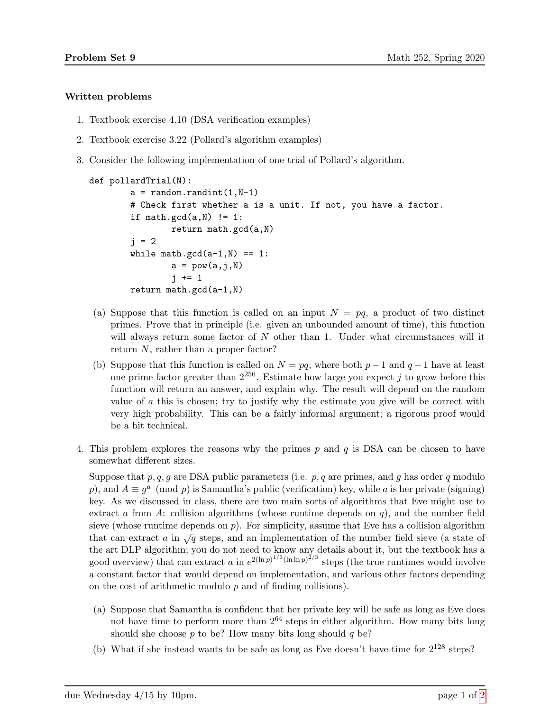## Written problems

- 1. Textbook exercise 4.10 (DSA verification examples)
- 2. Textbook exercise 3.22 (Pollard's algorithm examples)
- 3. Consider the following implementation of one trial of Pollard's algorithm.

```
def pollardTrial(N):
a = random.random(1, N-1)# Check first whether a is a unit. If not, you have a factor.
if math.gcd(a, N) != 1:
        return math.gcd(a,N)
j = 2while math.gcd(a-1,N) == 1:
        a = pow(a, j, N)i + = 1return math.gcd(a-1,N)
```
- (a) Suppose that this function is called on an input  $N = pq$ , a product of two distinct primes. Prove that in principle (i.e. given an unbounded amount of time), this function will always return some factor of  $N$  other than 1. Under what circumstances will it return N, rather than a proper factor?
- (b) Suppose that this function is called on  $N = pq$ , where both  $p-1$  and  $q-1$  have at least one prime factor greater than  $2^{256}$ . Estimate how large you expect j to grow before this function will return an answer, and explain why. The result will depend on the random value of  $\alpha$  this is chosen; try to justify why the estimate you give will be correct with very high probability. This can be a fairly informal argument; a rigorous proof would be a bit technical.
- 4. This problem explores the reasons why the primes  $p$  and  $q$  is DSA can be chosen to have somewhat different sizes.

Suppose that p, q, g are DSA public parameters (i.e.  $p$ , q are primes, and g has order q modulo p), and  $A \equiv g^a \pmod{p}$  is Samantha's public (verification) key, while a is her private (signing) key. As we discussed in class, there are two main sorts of algorithms that Eve might use to extract a from A: collision algorithms (whose runtime depends on  $q$ ), and the number field sieve (whose runtime depends on  $p$ ). For simplicity, assume that Eve has a collision algorithm that can extract a in  $\sqrt{q}$  steps, and an implementation of the number field sieve (a state of the art DLP algorithm; you do not need to know any details about it, but the textbook has a good overview) that can extract a in  $e^{2(\ln p)^{1/3}(\ln \ln p)^{2/3}}$  steps (the true runtimes would involve a constant factor that would depend on implementation, and various other factors depending on the cost of arithmetic modulo  $p$  and of finding collisions).

- (a) Suppose that Samantha is confident that her private key will be safe as long as Eve does not have time to perform more than  $2^{64}$  steps in either algorithm. How many bits long should she choose  $p$  to be? How many bits long should  $q$  be?
- (b) What if she instead wants to be safe as long as Eve doesn't have time for  $2^{128}$  steps?